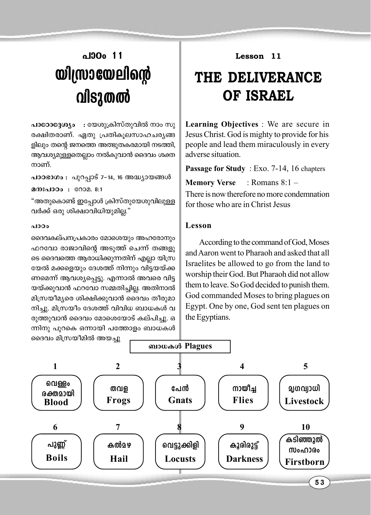# $\mu$ **100** 11 **bn{km-tb-ens' handa**

 $\mu$ **pcooc3@yo** : യേശുക്രിസ്തുവിൽ നാം സു രക്ഷിതരാണ്. ഏതു പ്രതികുലസാഹചര്യങ്ങ ളിലും തന്റെ ജനത്തെ അത്ഭുതകരമായി നടത്തി, ആവശ്യമുള്ളതെല്ലാം നൽകുവാൻ ദൈവം ശക്ത നാണ്.

പാഠഭാഗം : പുറപ്പാട് 7-14, 16 അദ്ധ്യായങ്ങൾ  $a$ msaloo :  $a$ 002. 8:1

"അതുകൊണ്ട് ഇപ്പോൾ ക്രിസ്തുയേശുവിലുള്ള വർക്ക് ഒരു ശിക്ഷാവിധിയുമില്ല."

#### പാഠം

ദൈവകല്പനപ്രകാരം മോശെയും അഹരോനും ഹറവോ രാജാവിന്റെ അടുത്ത് ചെന്ന് തങ്ങളു ടെ ദൈവത്തെ ആരാധിക്കുന്നതിന് എല്ലാ യിസ്ര യേൽ മക്കളെയും ദേശത്ത് നിന്നും വിട്ടയയ്ക്ക ണമെന്ന് ആവശ്യപ്പെട്ടു. എന്നാൽ അവരെ വിട്ട യയ്ക്കുവാൻ ഫറവോ സമ്മതിച്ചില്ല. അതിനാൽ മിസ്രയീമൃരെ ശിക്ഷിക്കുവാൻ ദൈവം തീരുമാ നിച്ചു. മിസ്രയീം ദേശത്ത് വിവിധ ബാധകൾ വ രുത്തുവാൻ ദൈവം മോശെയോട് കല്പിച്ചു. ഒ ന്നിനു പുറകെ ഒന്നായി പത്തോളം ബാധകൾ **Lesson 11**

## **THE DELIVERANCE OF ISRAEL**

**Learning Objectives** : We are secure in Jesus Christ. God is mighty to provide for his people and lead them miraculously in every adverse situation.

**Passage for Study** : Exo. 7-14, 16 chapters

**Memory Verse** : Romans 8:1 –

There is now therefore no more condemnation for those who are in Christ Jesus

### **Lesson**

According to the command of God, Moses and Aaron went to Pharaoh and asked that all Israelites be allowed to go from the land to worship their God. But Pharaoh did not allow them to leave. So God decided to punish them. God commanded Moses to bring plagues on Egypt. One by one, God sent ten plagues on the Egyptians.

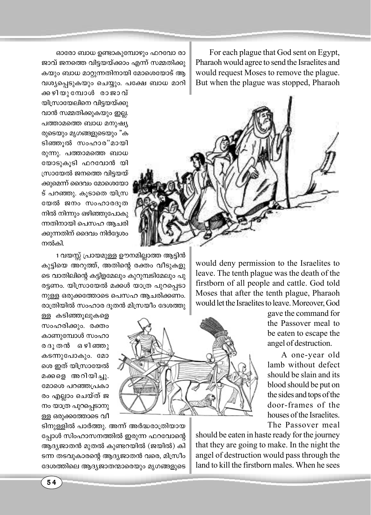For each plague that God sent on Egypt, Pharaoh would agree to send the Israelites and would request Moses to remove the plague. But when the plague was stopped, Pharaoh

ഓരോ ബാധ ഉണ്ടാകുമ്പോഴും ഫറവോ രാ ജാവ് ജനത്തെ വിട്ടയയ്ക്കാം എന്ന് സമ്മതിക്കു കയും ബാധ മാറ്റുന്നതിനായി മോശെയോട് ആ വശ്യപ്പെടുകയും ചെയ്യും. പക്ഷേ ബാധ മാറി

ക്കഴിയുമ്പോൾ രാജാവ് യിസ്രായേലിനെ വിട്ടയയ്ക്കു വാൻ സമ്മതിക്കുകയും ഇല്ല. പത്താമത്തെ ബാധ മനുഷ്യ രുടെയും മൃഗങ്ങളുടെയും "ക ടിഞ്ഞൂൽ സംഹാര"മായി രുന്നു. പത്താമത്തെ ബാധ യോടുകൂടി ഫറവോൻ യി സ്രായേൽ ജനത്തെ വിട്ടയയ് ക്കുമെന്ന് ദൈവം മോശെയോ ട് പറഞ്ഞു. കൂടാതെ യിസ്ര യേൽ ജനം സംഹാരദൂത നിൽ നിന്നും ഒഴിഞ്ഞുപോകു ന്നതിനായി പെസഹ ആചരി ക്കുന്നതിന് ദൈവം നിർദ്ദേശം നൽകി.

1 വയസ്സ് പ്രായമുള്ള ഊനമില്ലാത്ത ആടിൻ കുട്ടിയെ അറുത്ത്, അതിന്റെ രക്തം വീടുകളു ടെ വാതിലിന്റെ കട്ടിളമേലും കുറുമ്പടിമേലും പു രട്ടണം. യിസ്രായേൽ മക്കൾ യാത്ര പുറപ്പെടാ നുള്ള ഒരുക്കത്തോടെ പെസഹ ആചരിക്കണം. രാത്രിയിൽ സംഹാര ദുതൻ മിസ്രയീം ദേശത്തു

ള്ള കടിഞ്ഞുലുകളെ സംഹരിക്കും. രക്തം കാണുമ്പോൾ സംഹാ രദൂതൻ ഒഴിഞ്ഞു കടന്നുപോകും. മോ ശെ ഇത് യിസ്രായേൽ മക്കളെ അറിയിച്ചു. മോശെ പറഞ്ഞപ്രകാ രം എല്ലാം ചെയ്ത് ജ നം യാത്ര പുറപ്പെടാനു ള്ള ഒരുക്കത്തോടെ വീ

ടിനുള്ളിൽ പാർത്തു. അന്ന് അർദ്ധരാത്രിയായ പ്പോൾ സിംഹാസനത്തിൽ ഇരുന്ന ഫറവോന്റെ ആദ്യജാതൻ മുതൽ കുണ്ടറയിൽ (ജയിൽ) കി ടന്ന തടവുകാരന്റെ ആദ്യജാതൻ വരെ, മിസ്രീം ദേശത്തിലെ ആദ്യജാതന്മാരെയും മൃഗങ്ങളുടെ

would deny permission to the Israelites to leave. The tenth plague was the death of the firstborn of all people and cattle. God told Moses that after the tenth plague, Pharaoh would let the Israelites to leave. Moreover, God

> gave the command for the Passover meal to be eaten to escape the angel of destruction.

> A one-year old lamb without defect should be slain and its blood should be put on the sides and tops of the door-frames of the houses of the Israelites The Passover meal

should be eaten in haste ready for the journey that they are going to make. In the night the angel of destruction would pass through the land to kill the firstborn males. When he sees

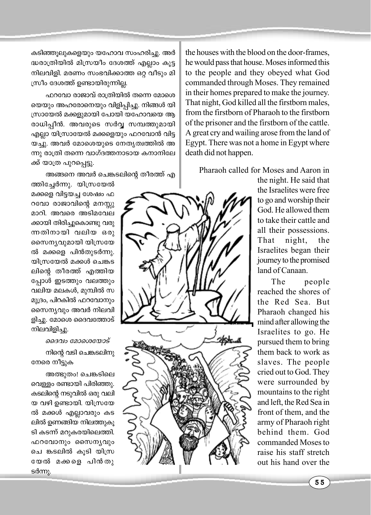കടിഞ്ഞൂലുകളെയും യഹോവ സംഹരിച്ചു. അർ ദ്ധരാത്രിയിൽ മിസ്രയീം ദേശത്ത് എല്ലാം കൂട്ട നിലവിളി. മരണം സംഭവിക്കാത്ത ഒറ്റ വീടും മി സ്രീം ദേശത്ത് ഉണ്ടായിരുന്നില്ല.

ഫറവോ രാജാവ് രാത്രിയിൽ തന്നെ മോശെ യെയും അഹരോനെയും വിളിപ്പിച്ചു. നിങ്ങൾ യി സ്രായേൽ മക്കളുമായി പോയി യഹോവയെ ആ രാധിപ്പീൻ. അവരുടെ സർവ്വ സമ്പത്തുമായി എല്ലാ യിസ്രായേൽ മക്കളെയും ഫറവോൻ വിട്ട യച്ചു. അവർ മോശെയുടെ നേതൃത്വത്തിൽ അ ന്നു രാത്രി തന്നെ വാഗ്ദത്തനാടായ കനാനിലേ ക്ക് യാത്ര പുറപ്പെട്ടു.

അങ്ങനെ അവർ ചെങ്കടലിന്റെ തീരത്ത് എ

ത്തിച്ചേർന്നു. യിസ്രയേൽ മക്കളെ വിട്ടയച്ച ശേഷം ഫ റവോ രാജാവിന്റെ മനസ്സു മാറി. അവരെ അടിമവേല ക്കായി തിരിച്ചുകൊണ്ടു വരു ന്നതിനായി വലിയ ഒരു സൈന്യവുമായി യിസ്രയേ ൽ മക്കളെ പിൻതുടർന്നു. യിസ്രയേൽ മക്കൾ ചെങ്കട ലിന്റെ തീരത്ത് എത്തിയ പ്പോൾ ഇടത്തും വലത്തും വലിയ മലകൾ, മുമ്പിൽ സ മുദ്രം, പിറകിൽ ഫറവോനും സൈന്യവും അവർ നിലവി ളിച്ചു. മോശെ ദൈവത്തോട് നിലവിളിച്ചു.

ദൈവം മോശെയോട് നിന്റെ വടി ചെങ്കടലിനു നേരെ നീട്ടുക

അത്ഭുതം! ചെങ്കടിലെ വെള്ളം രണ്ടായി പിരിഞ്ഞു. കടലിന്റെ നടുവിൽ ഒരു വലി യ വഴി ഉണ്ടായി. യിസ്രയേ ൽ മക്കൾ എല്ലാവരും കട ലിൽ ഉണങ്ങിയ നിലത്തുകൂ ടി കടന്ന് മറുകരയിലെത്തി. ഫറവോനും സൈന്യവും ചെ ങ്കടലിൽ കൂടി യിസ്ര യേൽ മക്കളെ പിൻതു ടർന്നു.



the houses with the blood on the door-frames, he would pass that house. Moses informed this to the people and they obeyed what God commanded through Moses. They remained in their homes prepared to make the journey. That night, God killed all the firstborn males, from the firstborn of Pharaoh to the firstborn of the prisoner and the firstborn of the cattle. A great cry and wailing arose from the land of Egypt. There was not a home in Egypt where death did not happen.

Pharaoh called for Moses and Aaron in

the night. He said that the Israelites were free to go and worship their God. He allowed them to take their cattle and all their possessions. That night, the Israelites began their journey to the promised land of Canaan.

The people reached the shores of the Red Sea. But Pharaoh changed his mind after allowing the Israelites to go. He pursued them to bring them back to work as slaves. The people cried out to God. They were surrounded by mountains to the right and left, the Red Sea in front of them, and the army of Pharaoh right behind them. God commanded Moses to raise his staff stretch out his hand over the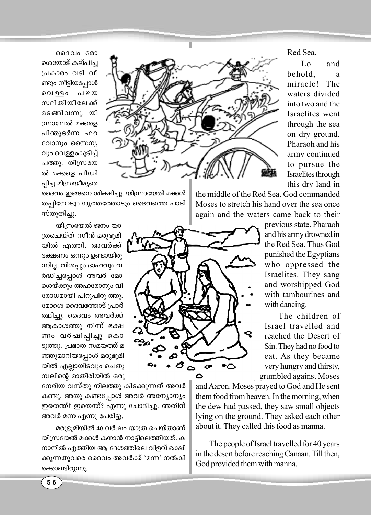ദൈവം മോ

ശെയോട് കല്പിച്ച പ്രകാരം വടി വീ ണ്ടും നീട്ടിയപ്പോൾ പ ഴ യ വെള്ളം സ്ഥിതിയിലേക്ക് മടങ്ങിവന്നു. യി സ്രാലേൽ മക്കളെ പിന്തുടർന്ന ഫറ വോനും സൈന്യ വും വെള്ളംകുടിച്ച് ചത്തു. യിസ്രയേ ൽ മക്കളെ പീഡി പിച്ച മിസ്രയീമ്യരെ



Ć۴

ദൈവം ഇങ്ങനെ ശിക്ഷിച്ചു. യിസ്രായേൽ മക്കൾ തപ്പിനോടും നൃത്തത്തോടും ദൈവത്തെ പാടി സ്തുതിച്ചു.

യിസ്രയേൽ ജനം യാ ത്രചെയ്ത് സീൻ മരുഭുമി യിൽ എത്തി. അവർക്ക് ഭക്ഷണം ഒന്നും ഉണ്ടായിരു ന്നില്ല. വിശപ്പും ദാഹവും വ ർദ്ധിച്ചപ്പോൾ അവർ മോ ശെയ്ക്കും അഹരോനും വി രോധമായി പിറുപിറു ത്തു. മോശെ ദൈവത്തോട് പ്രാർ ത്ഥിച്ചു. ദൈവം അവർക്ക് ആകാശത്തു നിന്ന് ഭക്ഷ ണം വർഷിപ്പിച്ചു കൊ ടുത്തു. പ്രഭാത സമയത്ത് മ ഞ്ഞുമാറിയപ്പോൾ മരുഭൂമി യിൽ എല്ലായിടവും ചെതു മ്പലിന്റെ മാതിരിയിൽ ഒരു

നേരിയ വസ്തു നിലത്തു കിടക്കുന്നത് അവർ കണ്ടു. അതു കണ്ടപ്പോൾ അവർ അന്യോന്യം ഇതെന്ത്? ഇതെന്ത്? എന്നു ചോദിച്ചു. അതിന് അവർ മന്ന എന്നു പേരിട്ടു.

മരുഭൂമിയിൽ 40 വർഷം യാത്ര ചെയ്താണ് യിസ്രയേൽ മക്കൾ കനാൻ നാട്ടിലെത്തിയത്. ക നാനിൽ എത്തിയ ആ ദേശത്തിലെ വിളവ് ഭക്ഷി ക്കുന്നതുവരെ ദൈവം അവർക്ക് 'മന്ന' നൽകി ക്കൊണ്ടിരുന്നു.

Red Sea

 $\Gamma_{0}$ and behold. a miracle! The waters divided into two and the Israelites went through the sea on dry ground. Pharaoh and his army continued to pursue the Israelites through this dry land in

the middle of the Red Sea. God commanded Moses to stretch his hand over the sea once again and the waters came back to their

> previous state. Pharaoh and his army drowned in the Red Sea. Thus God punished the Egyptians who oppressed the Israelites. They sang and worshipped God with tambourines and with dancing.

The children of Israel travelled and reached the Desert of Sin. They had no food to eat. As they became very hungry and thirsty. grumbled against Moses

and Aaron. Moses prayed to God and He sent them food from heaven. In the morning, when the dew had passed, they saw small objects lying on the ground. They asked each other about it. They called this food as manna.

The people of Israel travelled for 40 years in the desert before reaching Canaan. Till then, God provided them with manna.

56